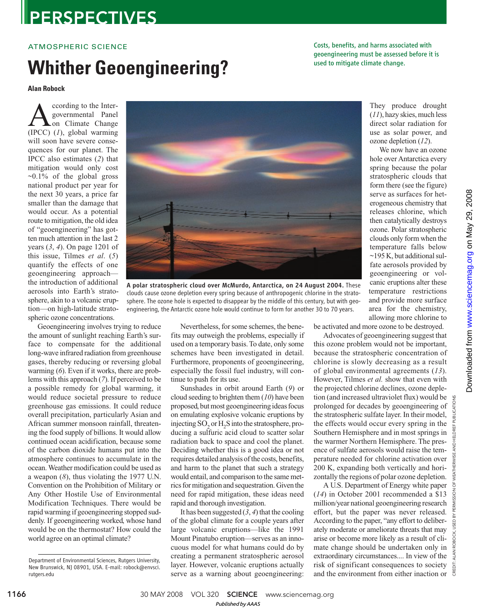## **PERSPECTIVES**

### ATMOSPHERIC SCIENCE

# Whither Geoengineering? **Whither Seconglineering?**

**Alan Robock**

**A** coording to the Inter-<br>governmental Panel<br>(IPCC) (1), global warming ccording to the Intergovernmental Panel on Climate Change will soon have severe consequences for our planet. The IPCC also estimates (*2*) that mitigation would only cost  $\sim 0.1\%$  of the global gross national product per year for the next 30 years, a price far smaller than the damage that would occur. As a potential route to mitigation, the old idea of "geoengineering" has gotten much attention in the last 2 years (*3*, *4*). On page 1201 of this issue, Tilmes *et al*. (*5*) quantify the effects of one geoengineering approach the introduction of additional aerosols into Earth's stratosphere, akin to a volcanic eruption—on high-latitude stratospheric ozone concentrations.

Geoengineering involves trying to reduce the amount of sunlight reaching Earth's surface to compensate for the additional long-wave infrared radiation from greenhouse gases, thereby reducing or reversing global warming (*6*). Even if it works, there are problems with this approach (*7*). If perceived to be a possible remedy for global warming, it would reduce societal pressure to reduce greenhouse gas emissions. It could reduce overall precipitation, particularly Asian and African summer monsoon rainfall, threatening the food supply of billions. It would allow continued ocean acidification, because some of the carbon dioxide humans put into the atmosphere continues to accumulate in the ocean. Weather modification could be used as a weapon (*8*), thus violating the 1977 U.N. Convention on the Prohibition of Military or Any Other Hostile Use of Environmental Modification Techniques. There would be rapid warming if geoengineering stopped suddenly. If geoengineering worked, whose hand would be on the thermostat? How could the world agree on an optimal climate?

Nevertheless, for some schemes, the benefits may outweigh the problems, especially if used on a temporary basis. To date, only some schemes have been investigated in detail. Furthermore, proponents of geoengineering, especially the fossil fuel industry, will continue to push for its use.

clouds cause ozone depletion every spring because of anthropogenic chlorine in the stratosphere. The ozone hole is expected to disappear by the middle of this century, but with geoengineering, the Antarctic ozone hole would continue to form for another 30 to 70 years.

> Sunshades in orbit around Earth (*9*) or cloud seeding to brighten them (*10*) have been proposed, but most geoengineering ideas focus on emulating explosive volcanic eruptions by injecting  $SO_2$  or  $H_2S$  into the stratosphere, producing a sulfuric acid cloud to scatter solar radiation back to space and cool the planet. Deciding whether this is a good idea or not requires detailed analysis of the costs, benefits, and harm to the planet that such a strategy would entail, and comparison to the same metrics for mitigation and sequestration. Given the need for rapid mitigation, these ideas need rapid and thorough investigation.

> It has been suggested (*3*, *4*) that the cooling of the global climate for a couple years after large volcanic eruptions—like the 1991 Mount Pinatubo eruption—serves as an innocuous model for what humans could do by creating a permanent stratospheric aerosol layer. However, volcanic eruptions actually serve as a warning about geoengineering:

be activated and more ozone to be destroyed.

Advocates of geoengineering suggest that this ozone problem would not be important, because the stratospheric concentration of chlorine is slowly decreasing as a result of global environmental agreements (*13*). However, Tilmes *et al.* show that even with the projected chlorine declines, ozone depletion (and increased ultraviolet flux) would be prolonged for decades by geoengineering of the stratospheric sulfate layer. In their model, the effects would occur every spring in the Southern Hemisphere and in most springs in the warmer Northern Hemisphere. The presence of sulfate aerosols would raise the temperature needed for chlorine activation over 200 K, expanding both vertically and horizontally the regions of polar ozone depletion.

A U.S. Department of Energy white paper (*14*) in October 2001 recommended a \$13 million/year national geoengineering research effort, but the paper was never released. According to the paper, "any effort to deliberately moderate or ameliorate threats that may arise or become more likely as a result of climate change should be undertaken only in extraordinary circumstances.... In view of the risk of significant consequences to society and the environment from either inaction or

They produce drought (*11*), hazy skies, much less direct solar radiation for use as solar power, and ozone depletion (*12*).

Costs, benefits, and harms associated with geoengineering must be assessed before it is

> We now have an ozone hole over Antarctica every spring because the polar stratospheric clouds that form there (see the figure) serve as surfaces for heterogeneous chemistry that releases chlorine, which then catalytically destroys ozone. Polar stratospheric clouds only form when the temperature falls below ~195 K, but additional sulfate aerosols provided by geoengineering or volcanic eruptions alter these temperature restrictions and provide more surface area for the chemistry, allowing more chlorine to

Downloaded from



30 MAY 2008 VOL 320 SCIENCE www.sciencemag.org

Department of Environmental Sciences, Rutgers University, New Brunswick, NJ 08901, USA. E-mail: robock@envsci. rutgers.edu